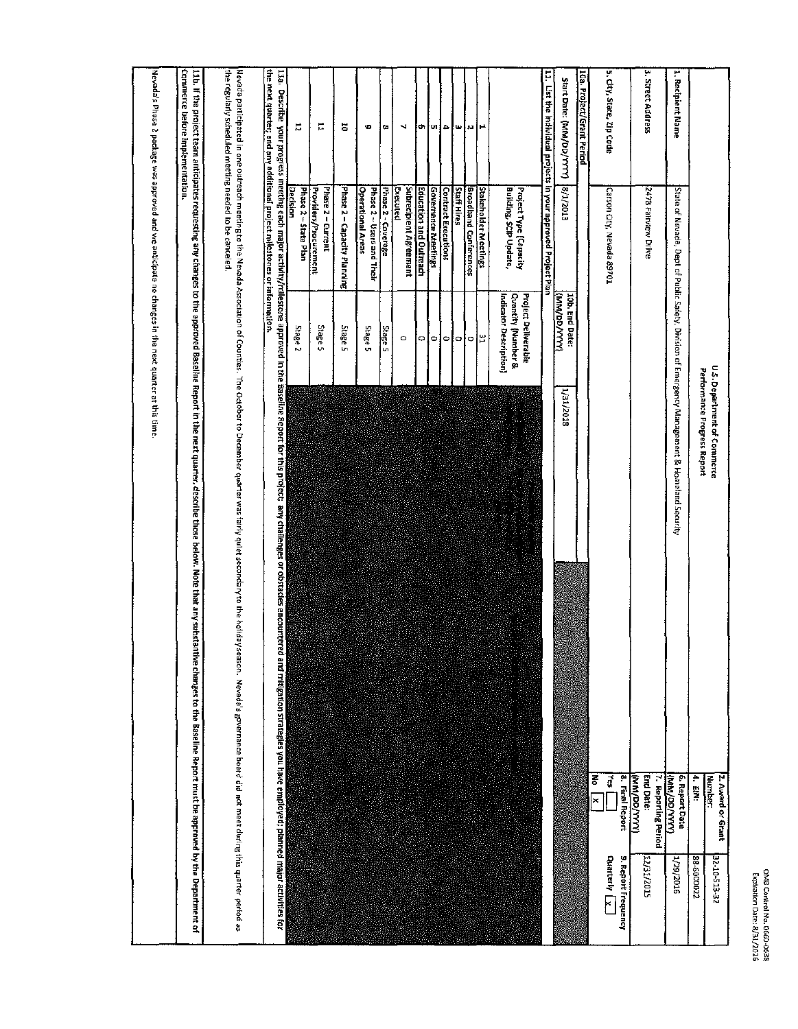|                                                                         |                                                       |                                                                     | U.S. Department of Commerce                                                                                                                                                                                                               | 2. Award or Grant<br><b>Number</b>      | 32-10-513-32                         |
|-------------------------------------------------------------------------|-------------------------------------------------------|---------------------------------------------------------------------|-------------------------------------------------------------------------------------------------------------------------------------------------------------------------------------------------------------------------------------------|-----------------------------------------|--------------------------------------|
|                                                                         |                                                       |                                                                     | Performance Progress Report                                                                                                                                                                                                               | 4. EINI:                                | 22000058                             |
| 2. Recipient Name                                                       |                                                       |                                                                     | State of Nevada, Dept of Public Safety, Division of Emergency Management & Homeland Security                                                                                                                                              | 6. Report Date<br><b>UAAX/GO/WW)</b>    | 1/29/2016                            |
| 3. Street Address                                                       | 2478 Fairview Drive                                   |                                                                     |                                                                                                                                                                                                                                           | <b>End Date:</b><br>7. Reporting Period | 22/15/2015                           |
|                                                                         |                                                       |                                                                     |                                                                                                                                                                                                                                           | 8. Final Report<br><b>(XXX/OO/WW)</b>   |                                      |
| 5. City, State, Zip Code                                                | Carson City, Nevada 89701                             |                                                                     |                                                                                                                                                                                                                                           | ₫,                                      | 9. Report Frequency<br>Quarterly Lx. |
|                                                                         |                                                       |                                                                     |                                                                                                                                                                                                                                           | ᄛ<br>$\pmb{\times}$                     |                                      |
| 10a. Project/Grant Period                                               |                                                       |                                                                     |                                                                                                                                                                                                                                           |                                         |                                      |
| Start Date: (MM/DD/YYYY)                                                | 8/1/2013                                              | (XXXX/GO/WW)<br>10b. End Date:                                      | 1/31/2018                                                                                                                                                                                                                                 |                                         |                                      |
|                                                                         |                                                       |                                                                     |                                                                                                                                                                                                                                           |                                         |                                      |
| 11. List the Individual projects in your approved Project Plan          |                                                       |                                                                     |                                                                                                                                                                                                                                           |                                         |                                      |
|                                                                         | Building, SCIP Update,<br>Project Type (Capacity      | Indicator Description]<br>Quantity (Number &<br>Project Deliverable | <b>Reader</b>                                                                                                                                                                                                                             |                                         |                                      |
| ۳                                                                       | Stakeholder Meetings                                  | 법                                                                   |                                                                                                                                                                                                                                           |                                         |                                      |
| м                                                                       | <b>Broadband Conferences</b>                          | Ç                                                                   |                                                                                                                                                                                                                                           |                                         |                                      |
| ш                                                                       | <b>Staff Hires</b>                                    | ıо                                                                  |                                                                                                                                                                                                                                           |                                         |                                      |
| ٠                                                                       | <b>Contract Executions</b>                            | ۰                                                                   |                                                                                                                                                                                                                                           |                                         |                                      |
| e۱                                                                      | Governance Meetings                                   | ۰                                                                   |                                                                                                                                                                                                                                           |                                         |                                      |
| ch,                                                                     | Education and Outreach                                | o                                                                   |                                                                                                                                                                                                                                           |                                         |                                      |
| ч                                                                       | <b>Executed</b><br>Subrecipient Agreement             | $\circ$                                                             |                                                                                                                                                                                                                                           |                                         |                                      |
| œ                                                                       | Phase 2 - Coverage                                    | Sage 5                                                              |                                                                                                                                                                                                                                           |                                         |                                      |
| U)                                                                      | <b>Operational Areas</b><br>Phase 2 ~ Users and Their | Stage 5                                                             |                                                                                                                                                                                                                                           |                                         |                                      |
| ă                                                                       | Phase 2 - Capacity Planning                           | Stage 5                                                             |                                                                                                                                                                                                                                           |                                         |                                      |
| H                                                                       | Phase 2 - Current<br>Providers/Procurement            | Sage 5                                                              |                                                                                                                                                                                                                                           |                                         |                                      |
| 2                                                                       | Phase 2 - State Plan                                  | Stage <sub>2</sub>                                                  |                                                                                                                                                                                                                                           |                                         |                                      |
|                                                                         | <b>Decision</b>                                       |                                                                     | 11a. Describe your progress meeting each major activity/milestone approved in the Baseline Report for this project, any challenges or obstacles encounter<br>ed and mitigation strategies you have employed; planned major activities for |                                         |                                      |
| the next quarter; and any additional project milestones or information. |                                                       |                                                                     |                                                                                                                                                                                                                                           |                                         |                                      |
| the regularly scheduled meeting needed to be canceled                   |                                                       |                                                                     | Nevada participated in one to the company accodation of Counties. The October to December was fairly qulet secondary to the holiday season. Nevada's governance board dig not meer during this quarter period as                          |                                         |                                      |
| Commerce before implementation.                                         |                                                       |                                                                     | 11b. If the project team anticipates requesting any changes to a approved based in the next quartine that any substantive changes to the Baseline Peport must be approved by the Department of                                            |                                         |                                      |
|                                                                         |                                                       |                                                                     |                                                                                                                                                                                                                                           |                                         |                                      |
|                                                                         |                                                       |                                                                     |                                                                                                                                                                                                                                           |                                         |                                      |

Mevada's Phase 2 package was approved and we anticipate no changes in the next quarter at this time.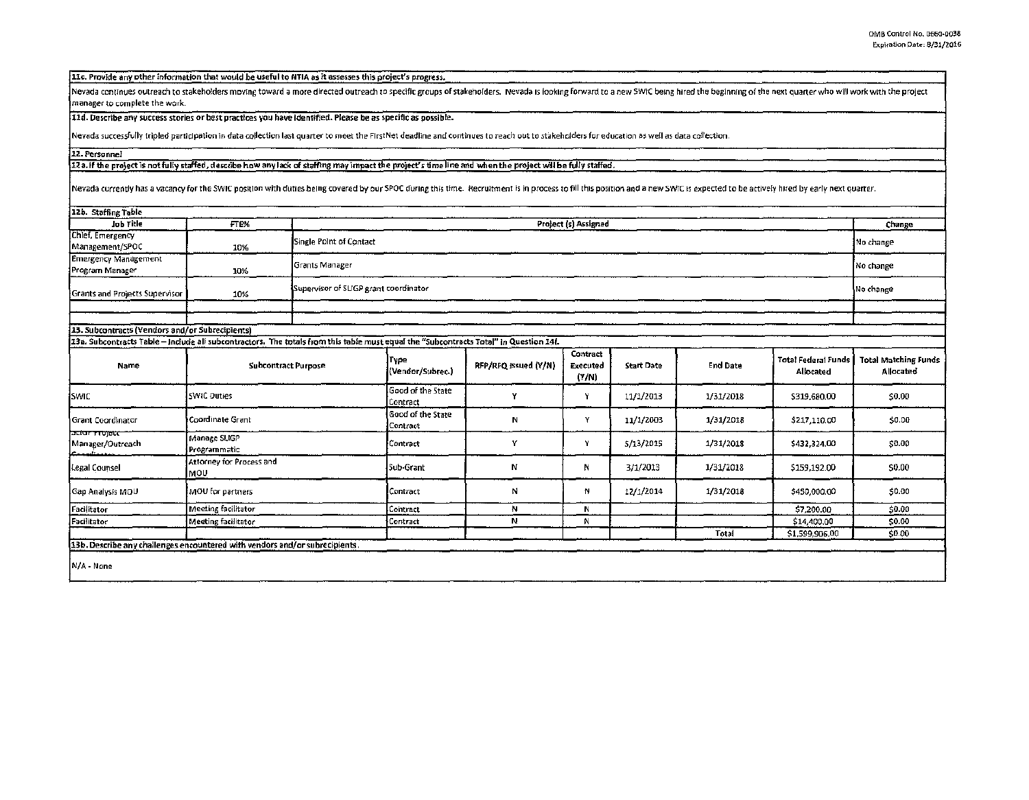11c. Provide any other information that would be useful to NTIA as it assesses this project's progress.

Nevada continues outreach to stakeholders moving toward a more directed outreach to specific groups of stakeholders. Nevada is looking forward to a new SWIC being hired the beginning of the next quarter who will work with manager to complete the work.

11d. Describe any success stories or best practices you have identified. Please be as specific as possible.

Nevada successfully tripled participation in data collection last quarter to meet the FirstNet deadline and continues to reach out to stakeholders for education as well as data collection.

## 12. Personnel

12a. If the project is not fully staffed, describe how any lack of staffing may impact the project's time line and when the project will be fully staffed.

Nevada currently has a vacancy for the SWIC position with duties being covered by our SPOC during this time. Recruitment is in process to fill this position and a new SWIC is expected to be actively hired by early next qua

| 12b. Staffing Table<br>Change                                               |                                  |                                                                                                                                                                     |                                                    |                      |                                      |                   |                 |                                  |                                                 |
|-----------------------------------------------------------------------------|----------------------------------|---------------------------------------------------------------------------------------------------------------------------------------------------------------------|----------------------------------------------------|----------------------|--------------------------------------|-------------------|-----------------|----------------------------------|-------------------------------------------------|
| <b>Job Title</b>                                                            | FTE%                             |                                                                                                                                                                     | Project (s) Assigned                               |                      |                                      |                   |                 |                                  |                                                 |
| Chief, Emergency<br>Management/SPOC                                         | 10%                              | Single Point of Contact                                                                                                                                             |                                                    |                      |                                      |                   |                 | No change                        |                                                 |
| <b>Emergency Management</b><br>Program Manager                              | 10%                              | Grants Manager                                                                                                                                                      |                                                    |                      |                                      |                   |                 |                                  | No change                                       |
| <b>Grants and Projects Supervisor</b>                                       | 10%                              |                                                                                                                                                                     | Supervisor of SLIGP grant coordinator<br>No change |                      |                                      |                   |                 |                                  |                                                 |
|                                                                             |                                  |                                                                                                                                                                     |                                                    |                      |                                      |                   |                 |                                  |                                                 |
|                                                                             |                                  |                                                                                                                                                                     |                                                    |                      |                                      |                   |                 |                                  |                                                 |
| 13. Subcontracts (Vendors and/or Subrecipients)                             |                                  |                                                                                                                                                                     |                                                    |                      |                                      |                   |                 |                                  |                                                 |
| Name                                                                        |                                  | 13a. Subcontracts Table - Include all subcontractors. The totals from this table must equal the "Subcontracts Tatal" in Question 14f.<br><b>Subcontract Purpose</b> |                                                    | RFP/RFQ Issued (Y/N) | <b>Contract</b><br>Executed<br>(Y/N) | <b>Start Date</b> | <b>End Date</b> | Total Federal Funds<br>Allocated | <b>Total Matching Funds</b><br><b>Allocated</b> |
| <b>SWIC</b>                                                                 | <b>SWIC Duties</b>               |                                                                                                                                                                     | Good of the State<br>Contract                      | Y                    | Y                                    | 11/1/2013         | 1/31/2018       | \$319,680.00                     | \$0.00                                          |
| Grant Coordinator                                                           | Coordinate Grant                 |                                                                                                                                                                     | Good of the State<br>Contract                      | Ν                    | Y                                    | 11/1/2003         | 1/31/2018       | \$217,110.00                     | \$0.00                                          |
| সৰ্বেদ দাত্তেহে<br>Manager/Outreach                                         | Manage SLIGP<br>Programmatic     |                                                                                                                                                                     | Contract                                           | Y                    | Y                                    | 5/13/2015         | 1/31/2018       | \$432,324.00                     | \$0.00                                          |
| Legal Counsel                                                               | Attorney for Process and<br>lMO∪ |                                                                                                                                                                     | Sub-Grant                                          | Ν                    | N                                    | 3/1/2013          | 1/31/2018       | \$159,192.00                     | \$0.00                                          |
| Gap Analysis MOU                                                            | MOU for partners                 |                                                                                                                                                                     | Contract                                           | N                    | N                                    | 12/1/2014         | 1/31/2018       | \$450,000.00                     | \$0.00                                          |
| Facilitator                                                                 | Meeting facilitator              |                                                                                                                                                                     | Contract                                           | N                    | N                                    |                   |                 | \$7,200.00                       | \$0.00                                          |
| Facilitator                                                                 | Meeting facilitator              |                                                                                                                                                                     | Contract                                           | N                    | N                                    |                   |                 | \$14,400.00                      | \$0.00                                          |
|                                                                             |                                  |                                                                                                                                                                     |                                                    |                      |                                      |                   | Total           | \$1,599,906.00                   | \$0.00                                          |
| 13b. Describe any challenges encountered with vendors and/or subrecipients. |                                  |                                                                                                                                                                     |                                                    |                      |                                      |                   |                 |                                  |                                                 |
| N/A - None                                                                  |                                  |                                                                                                                                                                     |                                                    |                      |                                      |                   |                 |                                  |                                                 |